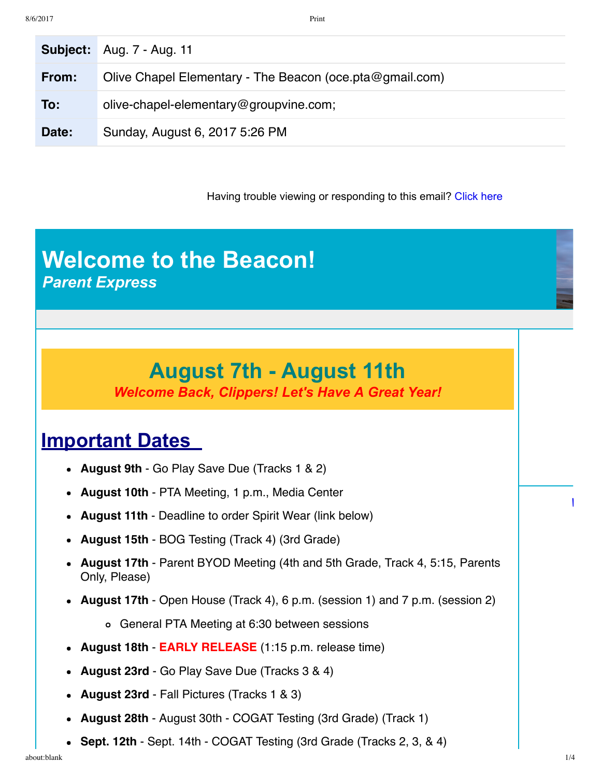|       | <b>Subject:</b> Aug. 7 - Aug. 11                         |
|-------|----------------------------------------------------------|
| From: | Olive Chapel Elementary - The Beacon (oce.pta@gmail.com) |
| To:   | olive-chapel-elementary@groupvine.com;                   |
| Date: | Sunday, August 6, 2017 5:26 PM                           |

Having trouble viewing or responding to this email? [Click here](https://www.groupvine.com/objLookup?objId=3407719&viewName=@@email&pageTicket=299f07665b85d92760cb62f11bc7ef6b&userEmail=jencm06@yahoo.com&dateSeed=06Aug17-14:26:34-3631&pageId=3407719&userId=1492953)

#### **Welcome to the Beacon!** *Parent Express*

# **August 7th August 11th**

*Welcome Back, Clippers! Let's Have A Great Year!*

#### **Important Dates**

- **August 9th** Go Play Save Due (Tracks 1 & 2)
- **August 10th** PTA Meeting, 1 p.m., Media Center
- **August 11th** Deadline to order Spirit Wear (link below)
- **August 15th** BOG Testing (Track 4) (3rd Grade)
- **August 17th** Parent BYOD Meeting (4th and 5th Grade, Track 4, 5:15, Parents Only, Please)
- **August 17th** Open House (Track 4), 6 p.m. (session 1) and 7 p.m. (session 2)
	- General PTA Meeting at 6:30 between sessions
- **August 18th EARLY RELEASE** (1:15 p.m. release time)
- **August 23rd** Go Play Save Due (Tracks 3 & 4)
- **August 23rd**  Fall Pictures (Tracks 1 & 3)
- **August 28th**  August 30th COGAT Testing (3rd Grade) (Track 1)
- **Sept. 12th**  Sept. 14th COGAT Testing (3rd Grade (Tracks 2, 3, & 4)  $\bullet$

*[W](http://www.schoolfamily.com/whyads)hy ads?*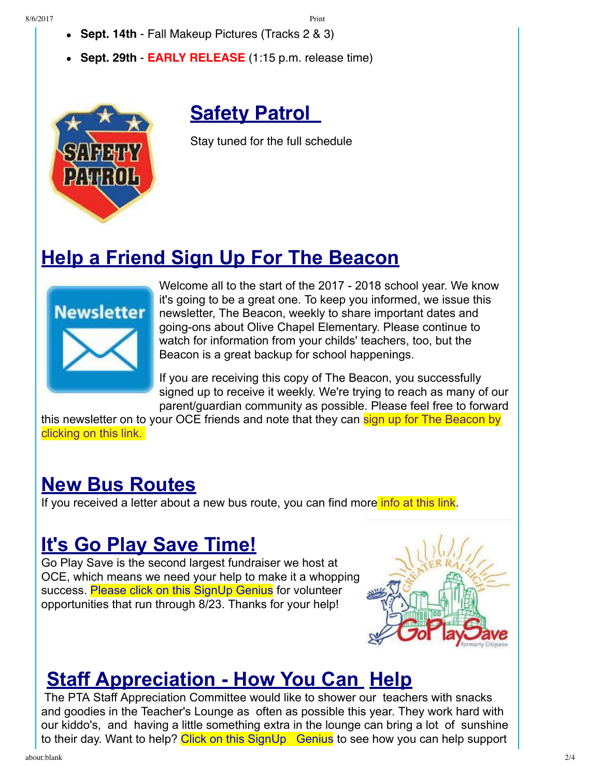- **Sept. 14th** Fall Makeup Pictures (Tracks 2 & 3)
- **Sept. 29th EARLY RELEASE** (1:15 p.m. release time)



**Safety Patrol** 

Stay tuned for the full schedule

### **Help a Friend Sign Up For The Beacon**



Welcome all to the start of the 2017 - 2018 school year. We know it's going to be a great one. To keep you informed, we issue this newsletter, The Beacon, weekly to share important dates and going-ons about Olive Chapel Elementary. Please continue to watch for information from your childs' teachers, too, but the Beacon is a great backup for school happenings.

If you are receiving this copy of The Beacon, you successfully signed up to receive it weekly. We're trying to reach as many of our parent/guardian community as possible. Please feel free to forward

[this newsletter on to your OCE friends and note that they can sign up for The Beacon by](https://docs.google.com/forms/d/e/1FAIpQLSf0eLxPaPmRBt9xRwGq9TACdevwCJY4rVYJaN1Vwbt-QVue6g/viewform?c=0&w=1) clicking on this link.

### **New Bus Routes**

If you received a letter about a new bus route, you can find more [info at this link.](http://webarchive.wcpss.net/school-directory/bus-routes/523.html)

### **It's Go Play Save Time!**

Go Play Save is the second largest fundraiser we host at OCE, which means we need your help to make it a whopping success. [Please click on this SignUp Genius](https://m.signupgenius.com/#!/showSignUp/4090c4eaba62b0-goplay/1257214) for volunteer opportunities that run through 8/23. Thanks for your help!



### **Staff Appreciation - How You Can Help**

The PTA Staff Appreciation Committee would like to shower our teachers with snacks and goodies in the Teacher's Lounge as often as possible this year. They work hard with our kiddo's, and having a little something extra in the lounge can bring a lot of sunshine to their day. Want to help? Click on this SignUp Genius to see how you can help support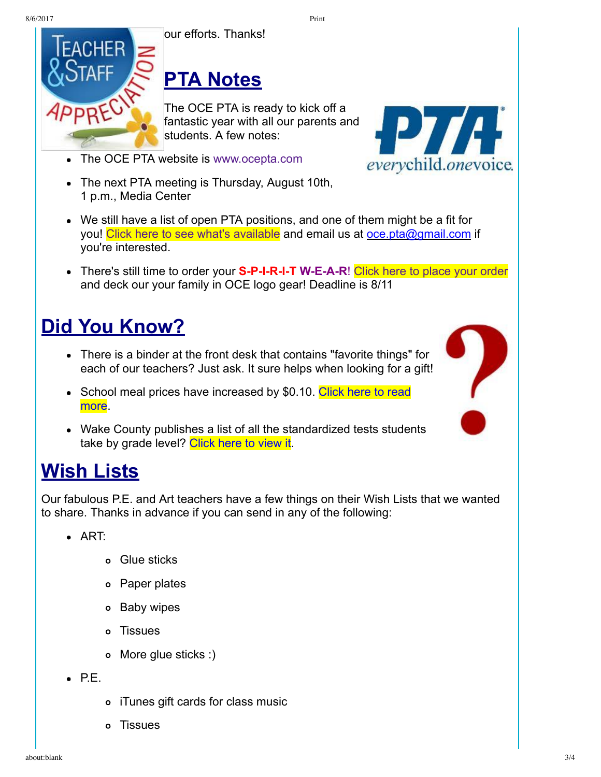8/6/2017 Print



# **PTA Notes**

The OCE PTA is ready to kick off a fantastic year with all our parents and students. A few notes:



- The next PTA meeting is Thursday, August 10th, 1 p.m., Media Center
- We still have a list of open PTA positions, and one of them might be a fit for you! [Click here to see what's available](http://docs.wixstatic.com/ugd/1e8297_de8d7bf48f064ba3b53fe5b6fa3c7559.pdf) and email us at oce.pta@gmail.com if you're interested.
- There's still time to order your **S-P-I-R-I-T W-E-A-R!** [Click here to place your order](https://my.cheddarup.com/c/ocespiritwear) and deck our your family in OCE logo gear! Deadline is 8/11

## **Did You Know?**

- There is a binder at the front desk that contains "favorite things" for each of our teachers? Just ask. It sure helps when looking for a gift!
- [School meal prices have increased by \\$0.10. Click here to read](http://www.wcpss.net/site/default.aspx?PageType=3&DomainID=6310&ModuleInstanceID=4225&ViewID=047E6BE3-6D87-4130-8424-D8E4E9ED6C2A&RenderLoc=0&FlexDataID=95058&PageID=14106) more.
- Wake County publishes a list of all the standardized tests students take by grade level? [Click here to view it](http://www.wcpss.net/site/default.aspx?PageType=3&DomainID=6310&ModuleInstanceID=4225&ViewID=047E6BE3-6D87-4130-8424-D8E4E9ED6C2A&RenderLoc=0&FlexDataID=95058&PageID=14106).

### **Wish Lists**

Our fabulous P.E. and Art teachers have a few things on their Wish Lists that we wanted to share. Thanks in advance if you can send in any of the following:

- ART:
	- Glue sticks
	- Paper plates
	- o Baby wipes
	- Tissues
	- More glue sticks :)
- $\bullet$  P.E.
- iTunes gift cards for class music
- Tissues



*everychild.onevoice.*